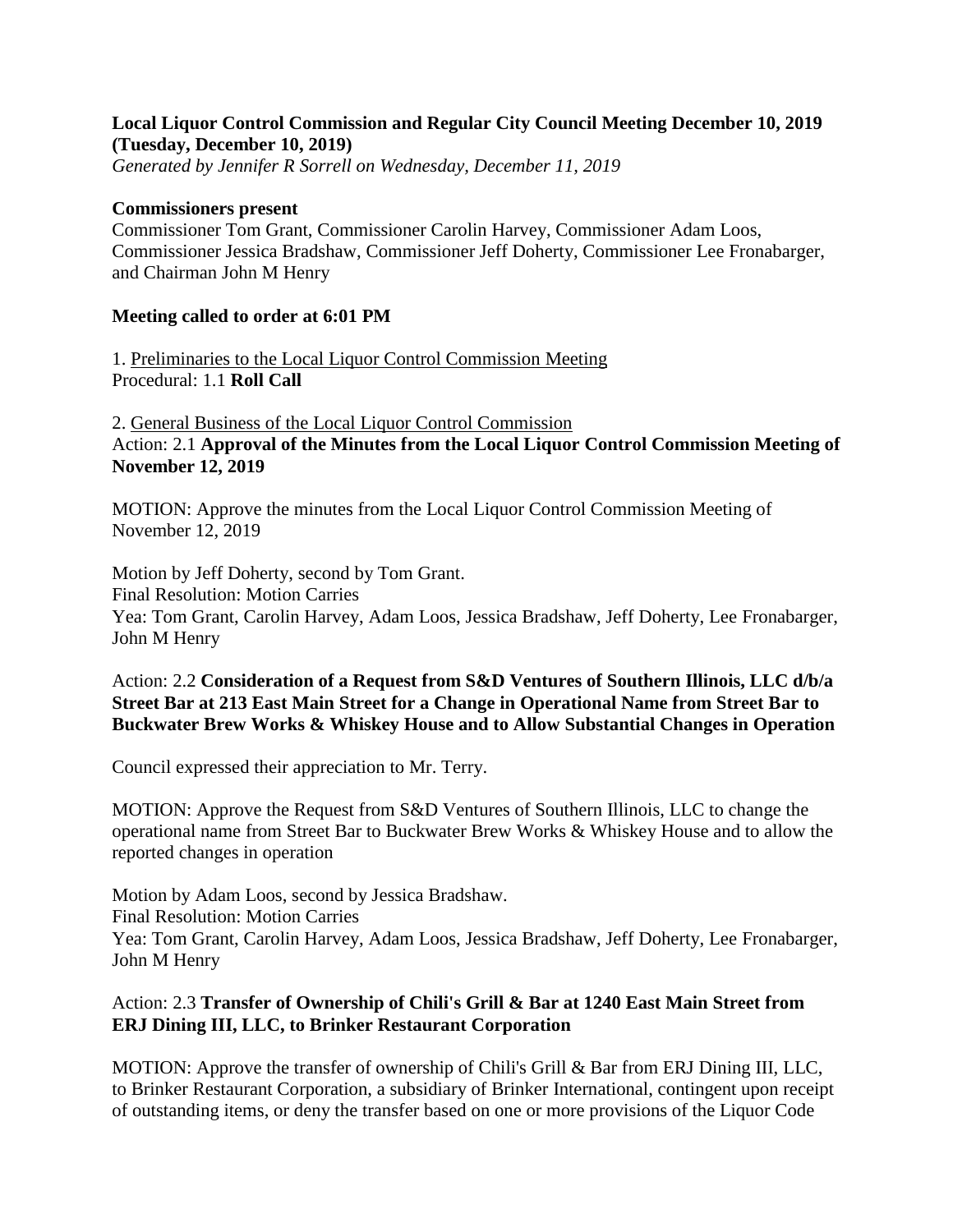## **Local Liquor Control Commission and Regular City Council Meeting December 10, 2019 (Tuesday, December 10, 2019)**

*Generated by Jennifer R Sorrell on Wednesday, December 11, 2019*

#### **Commissioners present**

Commissioner Tom Grant, Commissioner Carolin Harvey, Commissioner Adam Loos, Commissioner Jessica Bradshaw, Commissioner Jeff Doherty, Commissioner Lee Fronabarger, and Chairman John M Henry

## **Meeting called to order at 6:01 PM**

1. Preliminaries to the Local Liquor Control Commission Meeting Procedural: 1.1 **Roll Call**

2. General Business of the Local Liquor Control Commission Action: 2.1 **Approval of the Minutes from the Local Liquor Control Commission Meeting of November 12, 2019**

MOTION: Approve the minutes from the Local Liquor Control Commission Meeting of November 12, 2019

Motion by Jeff Doherty, second by Tom Grant. Final Resolution: Motion Carries Yea: Tom Grant, Carolin Harvey, Adam Loos, Jessica Bradshaw, Jeff Doherty, Lee Fronabarger, John M Henry

#### Action: 2.2 **Consideration of a Request from S&D Ventures of Southern Illinois, LLC d/b/a Street Bar at 213 East Main Street for a Change in Operational Name from Street Bar to Buckwater Brew Works & Whiskey House and to Allow Substantial Changes in Operation**

Council expressed their appreciation to Mr. Terry.

MOTION: Approve the Request from S&D Ventures of Southern Illinois, LLC to change the operational name from Street Bar to Buckwater Brew Works & Whiskey House and to allow the reported changes in operation

Motion by Adam Loos, second by Jessica Bradshaw. Final Resolution: Motion Carries Yea: Tom Grant, Carolin Harvey, Adam Loos, Jessica Bradshaw, Jeff Doherty, Lee Fronabarger, John M Henry

# Action: 2.3 **Transfer of Ownership of Chili's Grill & Bar at 1240 East Main Street from ERJ Dining III, LLC, to Brinker Restaurant Corporation**

MOTION: Approve the transfer of ownership of Chili's Grill & Bar from ERJ Dining III, LLC, to Brinker Restaurant Corporation, a subsidiary of Brinker International, contingent upon receipt of outstanding items, or deny the transfer based on one or more provisions of the Liquor Code